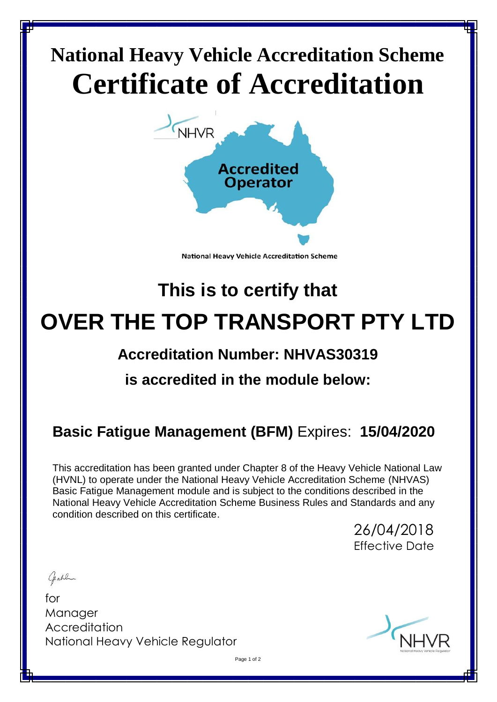# **National Heavy Vehicle Accreditation Scheme Certificate of Accreditation**



**National Heavy Vehicle Accreditation Scheme** 

# **This is to certify that OVER THE TOP TRANSPORT PTY LTD**

# **Accreditation Number: NHVAS30319**

# **is accredited in the module below:**

# **Basic Fatigue Management (BFM)** Expires: **15/04/2020**

This accreditation has been granted under Chapter 8 of the Heavy Vehicle National Law (HVNL) to operate under the National Heavy Vehicle Accreditation Scheme (NHVAS) Basic Fatigue Management module and is subject to the conditions described in the National Heavy Vehicle Accreditation Scheme Business Rules and Standards and any condition described on this certificate.

> 26/04/2018 Effective Date

Gable

for Manager **Accreditation** National Heavy Vehicle Regulator



Page 1 of 2